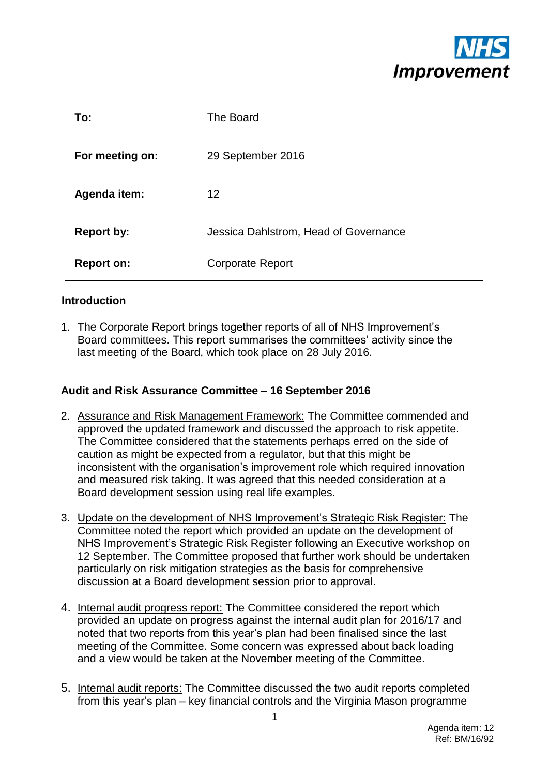

| To:               | The Board                             |
|-------------------|---------------------------------------|
| For meeting on:   | 29 September 2016                     |
| Agenda item:      | 12                                    |
| <b>Report by:</b> | Jessica Dahlstrom, Head of Governance |
| <b>Report on:</b> | <b>Corporate Report</b>               |

### **Introduction**

1. The Corporate Report brings together reports of all of NHS Improvement's Board committees. This report summarises the committees' activity since the last meeting of the Board, which took place on 28 July 2016.

### **Audit and Risk Assurance Committee – 16 September 2016**

- 2. Assurance and Risk Management Framework: The Committee commended and approved the updated framework and discussed the approach to risk appetite. The Committee considered that the statements perhaps erred on the side of caution as might be expected from a regulator, but that this might be inconsistent with the organisation's improvement role which required innovation and measured risk taking. It was agreed that this needed consideration at a Board development session using real life examples.
- 3. Update on the development of NHS Improvement's Strategic Risk Register: The Committee noted the report which provided an update on the development of NHS Improvement's Strategic Risk Register following an Executive workshop on 12 September. The Committee proposed that further work should be undertaken particularly on risk mitigation strategies as the basis for comprehensive discussion at a Board development session prior to approval.
- 4. Internal audit progress report: The Committee considered the report which provided an update on progress against the internal audit plan for 2016/17 and noted that two reports from this year's plan had been finalised since the last meeting of the Committee. Some concern was expressed about back loading and a view would be taken at the November meeting of the Committee.
- 5. Internal audit reports: The Committee discussed the two audit reports completed from this year's plan – key financial controls and the Virginia Mason programme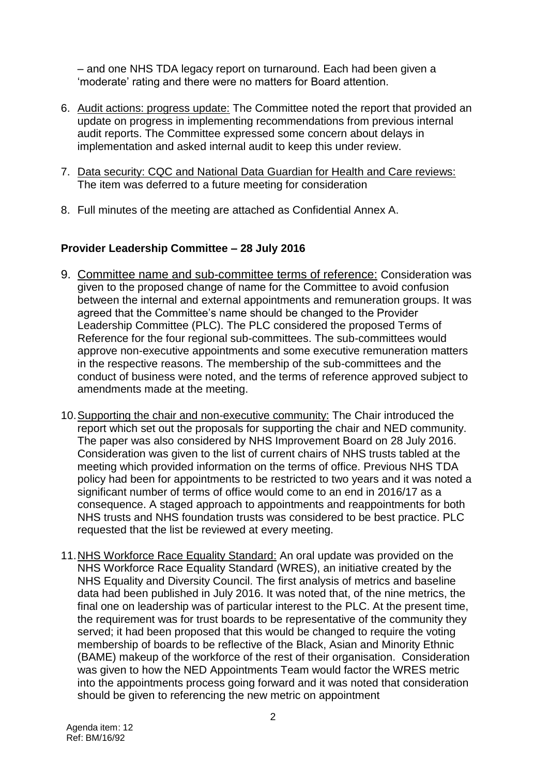– and one NHS TDA legacy report on turnaround. Each had been given a 'moderate' rating and there were no matters for Board attention.

- 6. Audit actions: progress update: The Committee noted the report that provided an update on progress in implementing recommendations from previous internal audit reports. The Committee expressed some concern about delays in implementation and asked internal audit to keep this under review.
- 7. Data security: CQC and National Data Guardian for Health and Care reviews: The item was deferred to a future meeting for consideration
- 8. Full minutes of the meeting are attached as Confidential Annex A.

# **Provider Leadership Committee – 28 July 2016**

- 9. Committee name and sub-committee terms of reference: Consideration was given to the proposed change of name for the Committee to avoid confusion between the internal and external appointments and remuneration groups. It was agreed that the Committee's name should be changed to the Provider Leadership Committee (PLC). The PLC considered the proposed Terms of Reference for the four regional sub-committees. The sub-committees would approve non-executive appointments and some executive remuneration matters in the respective reasons. The membership of the sub-committees and the conduct of business were noted, and the terms of reference approved subject to amendments made at the meeting.
- 10.Supporting the chair and non-executive community: The Chair introduced the report which set out the proposals for supporting the chair and NED community. The paper was also considered by NHS Improvement Board on 28 July 2016. Consideration was given to the list of current chairs of NHS trusts tabled at the meeting which provided information on the terms of office. Previous NHS TDA policy had been for appointments to be restricted to two years and it was noted a significant number of terms of office would come to an end in 2016/17 as a consequence. A staged approach to appointments and reappointments for both NHS trusts and NHS foundation trusts was considered to be best practice. PLC requested that the list be reviewed at every meeting.
- 11. NHS Workforce Race Equality Standard: An oral update was provided on the NHS Workforce Race Equality Standard (WRES), an initiative created by the NHS Equality and Diversity Council. The first analysis of metrics and baseline data had been published in July 2016. It was noted that, of the nine metrics, the final one on leadership was of particular interest to the PLC. At the present time, the requirement was for trust boards to be representative of the community they served; it had been proposed that this would be changed to require the voting membership of boards to be reflective of the Black, Asian and Minority Ethnic (BAME) makeup of the workforce of the rest of their organisation. Consideration was given to how the NED Appointments Team would factor the WRES metric into the appointments process going forward and it was noted that consideration should be given to referencing the new metric on appointment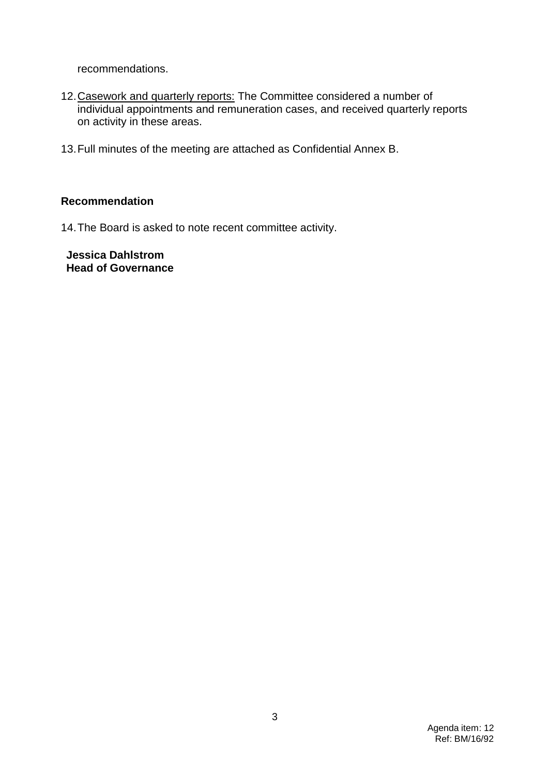recommendations.

- 12.Casework and quarterly reports: The Committee considered a number of individual appointments and remuneration cases, and received quarterly reports on activity in these areas.
- 13.Full minutes of the meeting are attached as Confidential Annex B.

### **Recommendation**

14.The Board is asked to note recent committee activity.

**Jessica Dahlstrom Head of Governance**